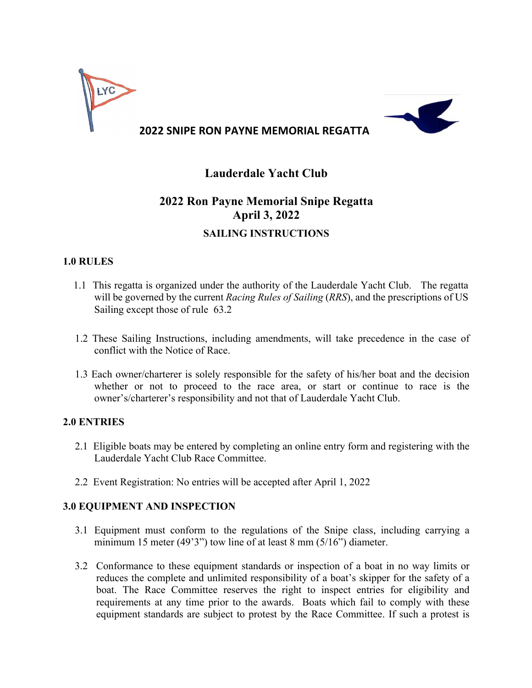

## **Lauderdale Yacht Club**

# **2022 Ron Payne Memorial Snipe Regatta April 3, 2022 SAILING INSTRUCTIONS**

## **1.0 RULES**

- 1.1 This regatta is organized under the authority of the Lauderdale Yacht Club. The regatta will be governed by the current *Racing Rules of Sailing* (*RRS*), and the prescriptions of US Sailing except those of rule 63.2
- 1.2 These Sailing Instructions, including amendments, will take precedence in the case of conflict with the Notice of Race.
- 1.3 Each owner/charterer is solely responsible for the safety of his/her boat and the decision whether or not to proceed to the race area, or start or continue to race is the owner's/charterer's responsibility and not that of Lauderdale Yacht Club.

## **2.0 ENTRIES**

- 2.1 Eligible boats may be entered by completing an online entry form and registering with the Lauderdale Yacht Club Race Committee.
- 2.2 Event Registration: No entries will be accepted after April 1, 2022

## **3.0 EQUIPMENT AND INSPECTION**

- 3.1 Equipment must conform to the regulations of the Snipe class, including carrying a minimum 15 meter (49'3") tow line of at least 8 mm (5/16") diameter.
- 3.2 Conformance to these equipment standards or inspection of a boat in no way limits or reduces the complete and unlimited responsibility of a boat's skipper for the safety of a boat. The Race Committee reserves the right to inspect entries for eligibility and requirements at any time prior to the awards. Boats which fail to comply with these equipment standards are subject to protest by the Race Committee. If such a protest is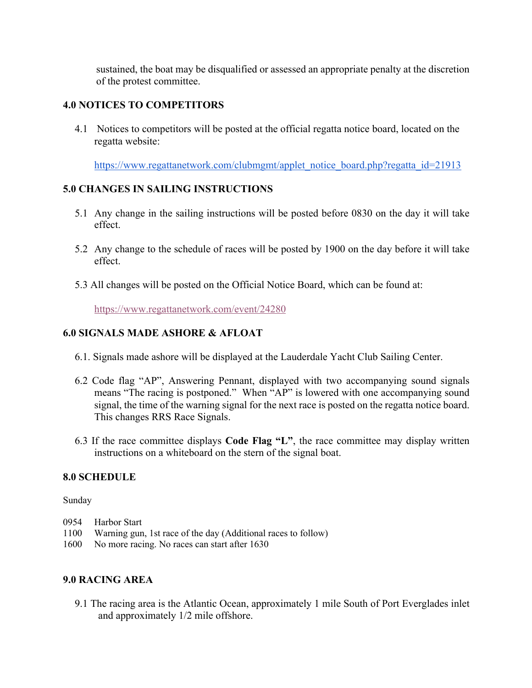sustained, the boat may be disqualified or assessed an appropriate penalty at the discretion of the protest committee.

## **4.0 NOTICES TO COMPETITORS**

4.1 Notices to competitors will be posted at the official regatta notice board, located on the regatta website:

https://www.regattanetwork.com/clubmgmt/applet\_notice\_board.php?regatta\_id=21913

## **5.0 CHANGES IN SAILING INSTRUCTIONS**

- 5.1 Any change in the sailing instructions will be posted before 0830 on the day it will take effect.
- 5.2 Any change to the schedule of races will be posted by 1900 on the day before it will take effect.
- 5.3 All changes will be posted on the Official Notice Board, which can be found at:

https://www.regattanetwork.com/event/24280

## **6.0 SIGNALS MADE ASHORE & AFLOAT**

- 6.1. Signals made ashore will be displayed at the Lauderdale Yacht Club Sailing Center.
- 6.2 Code flag "AP", Answering Pennant, displayed with two accompanying sound signals means "The racing is postponed." When "AP" is lowered with one accompanying sound signal, the time of the warning signal for the next race is posted on the regatta notice board. This changes RRS Race Signals.
- 6.3 If the race committee displays **Code Flag "L"**, the race committee may display written instructions on a whiteboard on the stern of the signal boat.

#### **8.0 SCHEDULE**

Sunday

- 0954 Harbor Start
- 1100 Warning gun, 1st race of the day (Additional races to follow)
- 1600 No more racing. No races can start after 1630

## **9.0 RACING AREA**

9.1 The racing area is the Atlantic Ocean, approximately 1 mile South of Port Everglades inlet and approximately 1/2 mile offshore.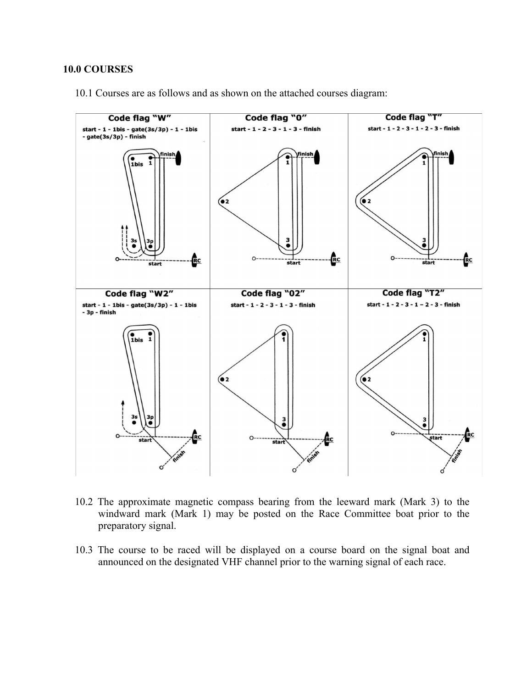#### **10.0 COURSES**

10.1 Courses are as follows and as shown on the attached courses diagram:



10.2 The approximate magnetic compass bearing from the leeward mark (Mark 3) to the windward mark (Mark 1) may be posted on the Race Committee boat prior to the preparatory signal.

10.3 The course to be raced will be displayed on a course board on the signal boat and announced on the designated VHF channel prior to the warning signal of each race.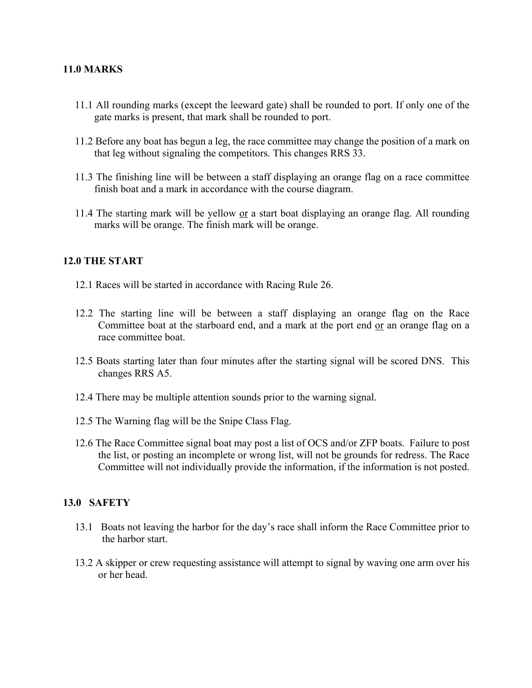#### **11.0 MARKS**

- 11.1 All rounding marks (except the leeward gate) shall be rounded to port. If only one of the gate marks is present, that mark shall be rounded to port.
- 11.2 Before any boat has begun a leg, the race committee may change the position of a mark on that leg without signaling the competitors. This changes RRS 33.
- 11.3 The finishing line will be between a staff displaying an orange flag on a race committee finish boat and a mark in accordance with the course diagram.
- 11.4 The starting mark will be yellow <u>or</u> a start boat displaying an orange flag. All rounding marks will be orange. The finish mark will be orange.

#### **12.0 THE START**

- 12.1 Races will be started in accordance with Racing Rule 26.
- 12.2 The starting line will be between a staff displaying an orange flag on the Race Committee boat at the starboard end, and a mark at the port end or an orange flag on a race committee boat.
- 12.5 Boats starting later than four minutes after the starting signal will be scored DNS. This changes RRS A5.
- 12.4 There may be multiple attention sounds prior to the warning signal.
- 12.5 The Warning flag will be the Snipe Class Flag.
- 12.6 The Race Committee signal boat may post a list of OCS and/or ZFP boats. Failure to post the list, or posting an incomplete or wrong list, will not be grounds for redress. The Race Committee will not individually provide the information, if the information is not posted.

#### **13.0 SAFETY**

- 13.1 Boats not leaving the harbor for the day's race shall inform the Race Committee prior to the harbor start.
- 13.2 A skipper or crew requesting assistance will attempt to signal by waving one arm over his or her head.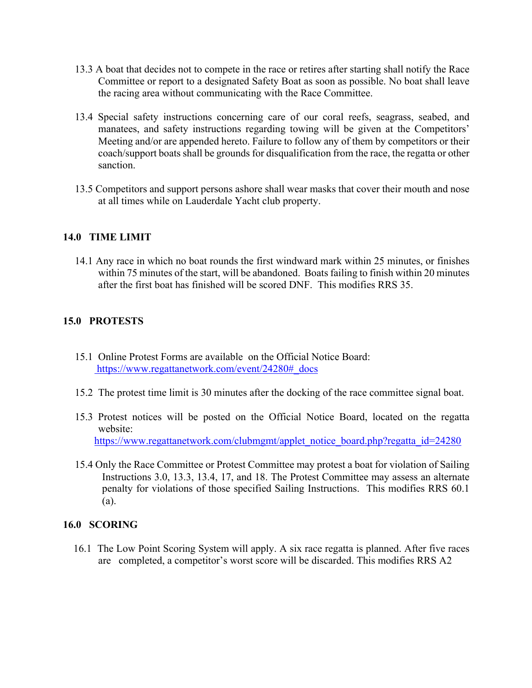- 13.3 A boat that decides not to compete in the race or retires after starting shall notify the Race Committee or report to a designated Safety Boat as soon as possible. No boat shall leave the racing area without communicating with the Race Committee.
- 13.4 Special safety instructions concerning care of our coral reefs, seagrass, seabed, and manatees, and safety instructions regarding towing will be given at the Competitors' Meeting and/or are appended hereto. Failure to follow any of them by competitors or their coach/support boats shall be grounds for disqualification from the race, the regatta or other sanction.
- 13.5 Competitors and support persons ashore shall wear masks that cover their mouth and nose at all times while on Lauderdale Yacht club property.

## **14.0 TIME LIMIT**

14.1 Any race in which no boat rounds the first windward mark within 25 minutes, or finishes within 75 minutes of the start, will be abandoned. Boats failing to finish within 20 minutes after the first boat has finished will be scored DNF. This modifies RRS 35.

## **15.0 PROTESTS**

- 15.1 Online Protest Forms are available on the Official Notice Board: https://www.regattanetwork.com/event/24280#\_docs
- 15.2 The protest time limit is 30 minutes after the docking of the race committee signal boat.
- 15.3 Protest notices will be posted on the Official Notice Board, located on the regatta website: https://www.regattanetwork.com/clubmgmt/applet\_notice\_board.php?regatta\_id=24280
- 15.4 Only the Race Committee or Protest Committee may protest a boat for violation of Sailing Instructions 3.0, 13.3, 13.4, 17, and 18. The Protest Committee may assess an alternate penalty for violations of those specified Sailing Instructions. This modifies RRS 60.1 (a).

## **16.0 SCORING**

16.1 The Low Point Scoring System will apply. A six race regatta is planned. After five races are completed, a competitor's worst score will be discarded. This modifies RRS A2